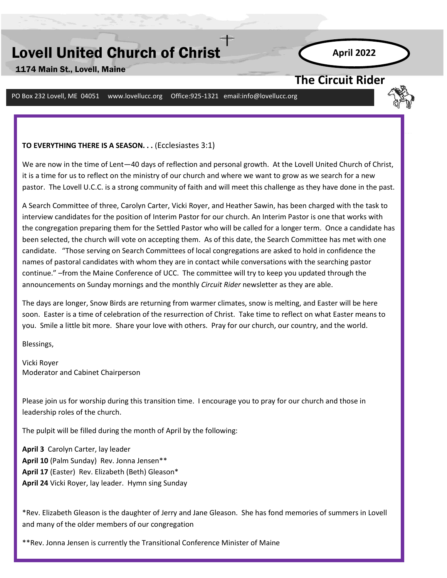# Lovell United Church of Christ

1174 Main St., Lovell, Maine

**April 2022**

# **The Circuit Rider**

PO Box 232 Lovell, ME 04051 www.lovellucc.org Office:925-1321 email:info@lovellucc.org

#### **TO EVERYTHING THERE IS A SEASON. . .** (Ecclesiastes 3:1)

We are now in the time of Lent—40 days of reflection and personal growth. At the Lovell United Church of Christ, it is a time for us to reflect on the ministry of our church and where we want to grow as we search for a new pastor. The Lovell U.C.C. is a strong community of faith and will meet this challenge as they have done in the past.

A Search Committee of three, Carolyn Carter, Vicki Royer, and Heather Sawin, has been charged with the task to interview candidates for the position of Interim Pastor for our church. An Interim Pastor is one that works with the congregation preparing them for the Settled Pastor who will be called for a longer term. Once a candidate has been selected, the church will vote on accepting them. As of this date, the Search Committee has met with one candidate. "Those serving on Search Committees of local congregations are asked to hold in confidence the names of pastoral candidates with whom they are in contact while conversations with the searching pastor continue." –from the Maine Conference of UCC. The committee will try to keep you updated through the announcements on Sunday mornings and the monthly *Circuit Rider* newsletter as they are able.

**April 2018** The days are longer, Snow Birds are returning from warmer climates, snow is melting, and Easter will be here soon. Easter is a time of celebration of the resurrection of Christ. Take time to reflect on what Easter means to you. Smile a little bit more. Share your love with others. Pray for our church, our country, and the world.

Blessings,

Vicki Royer Moderator and Cabinet Chairperson

Please join us for worship during this transition time. I encourage you to pray for our church and those in leadership roles of the church.

The pulpit will be filled during the month of April by the following:

**April 3** Carolyn Carter, lay leader **April 10** (Palm Sunday) Rev. Jonna Jensen\*\* **April 17** (Easter) Rev. Elizabeth (Beth) Gleason\* **April 24** Vicki Royer, lay leader. Hymn sing Sunday

\*Rev. Elizabeth Gleason is the daughter of Jerry and Jane Gleason. She has fond memories of summers in Lovell and many of the older members of our congregation

\*\*Rev. Jonna Jensen is currently the Transitional Conference Minister of Maine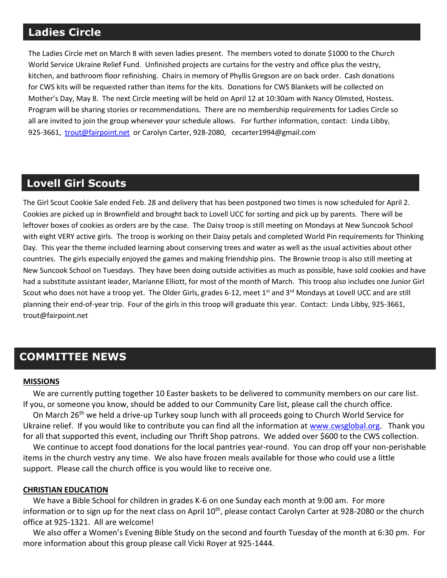# **Ladies Circle**

The Ladies Circle met on March 8 with seven ladies present. The members voted to donate \$1000 to the Church World Service Ukraine Relief Fund. Unfinished projects are curtains for the vestry and office plus the vestry, kitchen, and bathroom floor refinishing. Chairs in memory of Phyllis Gregson are on back order. Cash donations for CWS kits will be requested rather than items for the kits. Donations for CWS Blankets will be collected on Mother's Day, May 8. The next Circle meeting will be held on April 12 at 10:30am with Nancy Olmsted, Hostess. Program will be sharing stories or recommendations. There are no membership requirements for Ladies Circle so all are invited to join the group whenever your schedule allows. For further information, contact: Linda Libby, 925-3661, [trout@fairpoint.net](mailto:trout@fairpoint.net) or Carolyn Carter, 928-2080, cecarter1994@gmail.com

# Several of our Girl Scouts and leaders attended a ZOOM Cookie Rally on Jan. 29. The rally included sale training, crafts, **Lovell Girl Scouts**

The Girl Scout Cookie Sale ended Feb. 28 and delivery that has been postponed two times is now scheduled for April 2. Cookies are picked up in Brownfield and brought back to Lovell UCC for sorting and pick up by parents. There will be leftover boxes of cookies as orders are by the case. The Daisy troop is still meeting on Mondays at New Suncook School with eight VERY active girls. The troop is working on their Daisy petals and completed World Pin requirements for Thinking Day. This year the theme included learning about conserving trees and water as well as the usual activities about other countries. The girls especially enjoyed the games and making friendship pins. The Brownie troop is also still meeting at New Suncook School on Tuesdays. They have been doing outside activities as much as possible, have sold cookies and have had a substitute assistant leader, Marianne Elliott, for most of the month of March. This troop also includes one Junior Girl Scout who does not have a troop yet. The Older Girls, grades 6-12, meet 1<sup>st</sup> and 3<sup>rd</sup> Mondays at Lovell UCC and are still planning their end-of-year trip. Four of the girls in this troop will graduate this year. Contact: Linda Libby, 925-3661, trout@fairpoint.net

# **COMMITTEE NEWS**

#### **MISSIONS**

 We are currently putting together 10 Easter baskets to be delivered to community members on our care list. If you, or someone you know, should be added to our Community Care list, please call the church office.

On March 26<sup>th</sup> we held a drive-up Turkey soup lunch with all proceeds going to Church World Service for Ukraine relief. If you would like to contribute you can find all the information at [www.cwsglobal.org.](http://www.cwsglobal.org/) Thank you for all that supported this event, including our Thrift Shop patrons. We added over \$600 to the CWS collection.

 We continue to accept food donations for the local pantries year-round. You can drop off your non-perishable items in the church vestry any time. We also have frozen meals available for those who could use a little support. Please call the church office is you would like to receive one.

#### **CHRISTIAN EDUCATION**

 We have a Bible School for children in grades K-6 on one Sunday each month at 9:00 am. For more information or to sign up for the next class on April 10<sup>th</sup>, please contact Carolyn Carter at 928-2080 or the church office at 925-1321. All are welcome!

 We also offer a Women's Evening Bible Study on the second and fourth Tuesday of the month at 6:30 pm. For more information about this group please call Vicki Royer at 925-1444.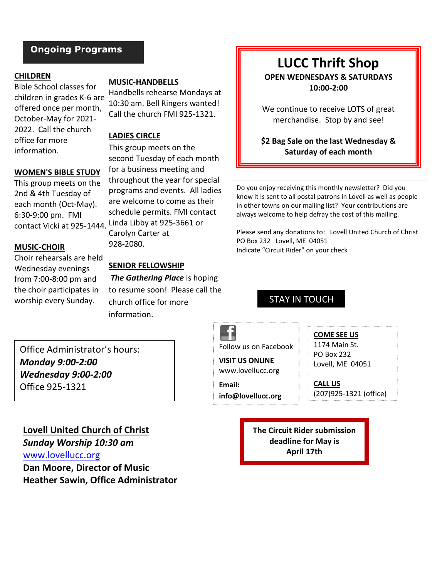# **Ongoing Programs**

## **CHILDREN**

Bible School classes for children in grades K-6 are offered once per month, October-May for 2021- 2022. Call the church office for more information.

#### **WOMEN'S BIBLE STUDY**

This group meets on the 2nd & 4th Tuesday of each month (Oct-May). 6:30-9:00 pm. FMI

#### **MUSIC-CHOIR**

Choir rehearsals are held Wednesday evenings from 7:00-8:00 pm and the choir participates in worship every Sunday.

**MUSIC-HANDBELLS**

Handbells rehearse Mondays at 10:30 am. Bell Ringers wanted! Call the church FMI 925-1321.

## **LADIES CIRCLE**

This group meets on the second Tuesday of each month for a business meeting and throughout the year for special programs and events. All ladies are welcome to come as their schedule permits. FMI contact contact Vicki at 925-1444. Linda Libby at 925-3661 or Carolyn Carter at 928-2080.

## **SENIOR FELLOWSHIP**

*The Gathering Place* is hoping to resume soon! Please call the church office for more information.

## **LUCC Thrift Shop OPEN WEDNESDAYS & SATURDAYS 10:00-2:00**

We continue to receive LOTS of great merchandise.Stop by and see!

**\$2 Bag Sale on the last Wednesday & Saturday of each month**

Do you enjoy receiving this monthly newsletter? Did you know it is sent to all postal patrons in Lovell as well as people in other towns on our mailing list? Your contributions are always welcome to help defray the cost of this mailing.

Please send any donations to: Lovell United Church of Christ PO Box 232 Lovell, ME 04051 Indicate "Circuit Rider" on your check

## STAY IN TOUCH

Office Administrator's hours: *Monday 9:00-2:00 Wednesday 9:00-2:00* Office 925-1321

## **Lovell United Church of Christ**

*Sunday Worship 10:30 am* [www.lovellucc.org](http://www.lovellucc.org/) **Dan Moore, Director of Music Heather Sawin, Office Administrator** Follow us on Facebook

## **VISIT US ONLINE** www.lovellucc.org

**Email: info@lovellucc.org** **COME SEE US** 1174 Main St.

PO Box 232 Lovell, ME 04051

**CALL US** (207)925-1321 (office)

**The Circuit Rider submission deadline for May is April 17th**